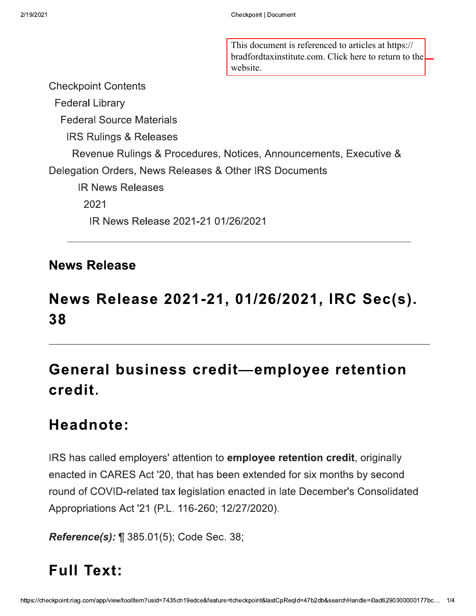This document is referenced to articles at https:// bradfordtaxinstitute.com. Click here to return to the website.

**Checkpoint Contents Federal Library Federal Source Materials IRS Rulings & Releases** Revenue Rulings & Procedures, Notices, Announcements, Executive & Delegation Orders, News Releases & Other IRS Documents **IR News Releases** 2021 IR News Release 2021-21 01/26/2021

#### **News Release**

## News Release 2021-21, 01/26/2021, IRC Sec(s). 38

# General business credit-employee retention credit.

## Headnote:

IRS has called employers' attention to **employee retention credit**, originally enacted in CARES Act '20, that has been extended for six months by second round of COVID-related tax legislation enacted in late December's Consolidated Appropriations Act '21 (P.L. 116-260; 12/27/2020).

**Reference(s):** 1 385.01(5); Code Sec. 38;

#### **Full Text:**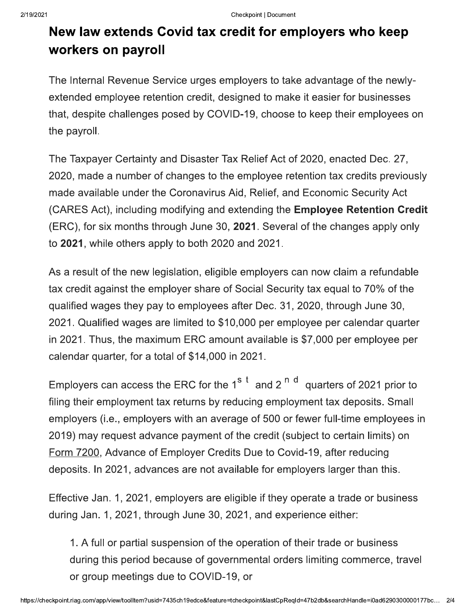### New law extends Covid tax credit for employers who keep workers on payroll

The Internal Revenue Service urges employers to take advantage of the newlyextended employee retention credit, designed to make it easier for businesses that, despite challenges posed by COVID-19, choose to keep their employees on the payroll.

The Taxpayer Certainty and Disaster Tax Relief Act of 2020, enacted Dec. 27, 2020, made a number of changes to the employee retention tax credits previously made available under the Coronavirus Aid, Relief, and Economic Security Act (CARES Act), including modifying and extending the **Employee Retention Credit** (ERC), for six months through June 30, 2021. Several of the changes apply only to 2021, while others apply to both 2020 and 2021.

As a result of the new legislation, eligible employers can now claim a refundable tax credit against the employer share of Social Security tax equal to 70% of the qualified wages they pay to employees after Dec. 31, 2020, through June 30, 2021. Qualified wages are limited to \$10,000 per employee per calendar quarter in 2021. Thus, the maximum ERC amount available is \$7,000 per employee per calendar quarter, for a total of \$14,000 in 2021.

Employers can access the ERC for the 1<sup>st</sup> and 2<sup>nd</sup> quarters of 2021 prior to filing their employment tax returns by reducing employment tax deposits. Small employers (i.e., employers with an average of 500 or fewer full-time employees in 2019) may request advance payment of the credit (subject to certain limits) on Form 7200, Advance of Employer Credits Due to Covid-19, after reducing deposits. In 2021, advances are not available for employers larger than this.

Effective Jan. 1, 2021, employers are eligible if they operate a trade or business during Jan. 1, 2021, through June 30, 2021, and experience either:

1. A full or partial suspension of the operation of their trade or business during this period because of governmental orders limiting commerce, travel or group meetings due to COVID-19, or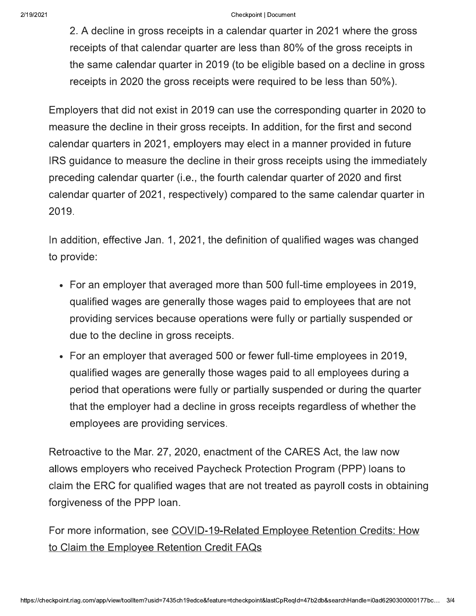#### Checkpoint | Document

2. A decline in gross receipts in a calendar quarter in 2021 where the gross receipts of that calendar quarter are less than 80% of the gross receipts in the same calendar quarter in 2019 (to be eligible based on a decline in gross receipts in 2020 the gross receipts were required to be less than 50%).

Employers that did not exist in 2019 can use the corresponding quarter in 2020 to measure the decline in their gross receipts. In addition, for the first and second calendar quarters in 2021, employers may elect in a manner provided in future IRS guidance to measure the decline in their gross receipts using the immediately preceding calendar quarter (i.e., the fourth calendar quarter of 2020 and first calendar quarter of 2021, respectively) compared to the same calendar quarter in 2019.

In addition, effective Jan. 1, 2021, the definition of qualified wages was changed to provide:

- For an employer that averaged more than 500 full-time employees in 2019, qualified wages are generally those wages paid to employees that are not providing services because operations were fully or partially suspended or due to the decline in gross receipts.
- For an employer that averaged 500 or fewer full-time employees in 2019, qualified wages are generally those wages paid to all employees during a period that operations were fully or partially suspended or during the quarter that the employer had a decline in gross receipts regardless of whether the employees are providing services.

Retroactive to the Mar. 27, 2020, enactment of the CARES Act, the law now allows employers who received Paycheck Protection Program (PPP) loans to claim the ERC for qualified wages that are not treated as payroll costs in obtaining forgiveness of the PPP loan.

For more information, see COVID-19-Related Employee Retention Credits: How to Claim the Employee Retention Credit FAQs